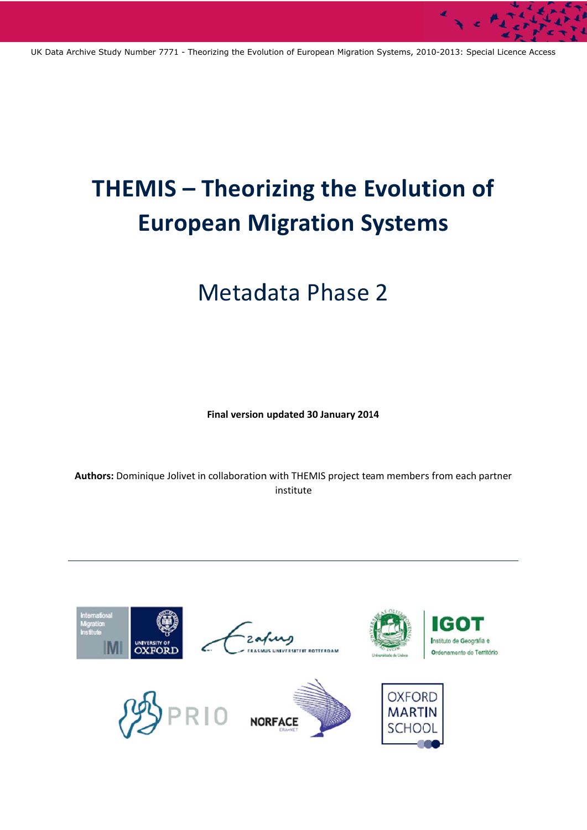# **THEMIS - Theorizing the Evolution of European Migration Systems**

# Metadata Phase 2

**F inal version updated 30 January 201 14** 

Authors: Dominique Jolivet in collaboration with THEMIS project team members from each partner institute

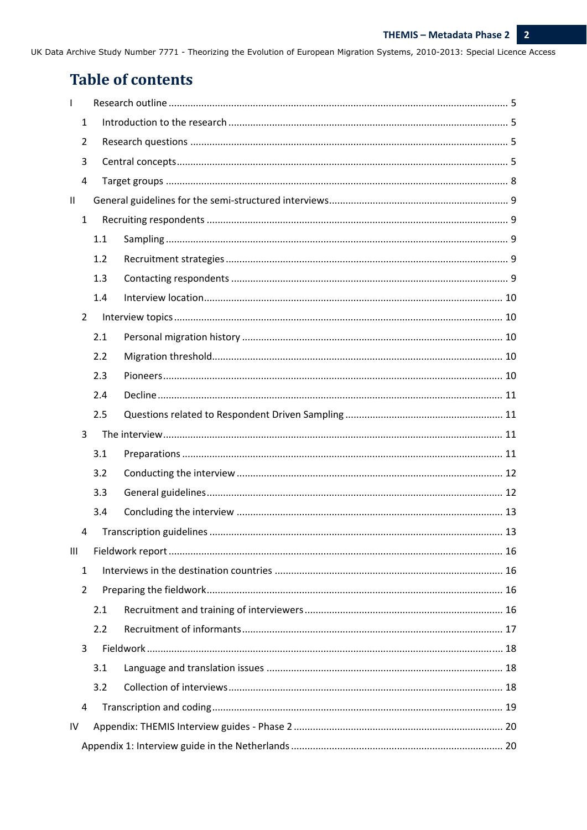# **Table of contents**

| $\mathbf{I}$                     |     |  |  |  |
|----------------------------------|-----|--|--|--|
| 1                                |     |  |  |  |
| $\overline{2}$                   |     |  |  |  |
| 3                                |     |  |  |  |
| 4                                |     |  |  |  |
| $\mathbf{II}$                    |     |  |  |  |
| $\mathbf{1}$                     |     |  |  |  |
|                                  | 1.1 |  |  |  |
|                                  | 1.2 |  |  |  |
|                                  | 1.3 |  |  |  |
|                                  | 1.4 |  |  |  |
| $\overline{2}$                   |     |  |  |  |
|                                  | 2.1 |  |  |  |
|                                  | 2.2 |  |  |  |
|                                  | 2.3 |  |  |  |
|                                  | 2.4 |  |  |  |
|                                  | 2.5 |  |  |  |
| 3                                |     |  |  |  |
|                                  |     |  |  |  |
|                                  | 3.1 |  |  |  |
|                                  | 3.2 |  |  |  |
|                                  | 3.3 |  |  |  |
|                                  | 3.4 |  |  |  |
| 4                                |     |  |  |  |
| $\mathop{\mathrm{III}}\nolimits$ |     |  |  |  |
| 1                                |     |  |  |  |
| $\overline{2}$                   |     |  |  |  |
|                                  | 2.1 |  |  |  |
|                                  | 2.2 |  |  |  |
| 3                                |     |  |  |  |
|                                  | 3.1 |  |  |  |
|                                  | 3.2 |  |  |  |
| 4                                |     |  |  |  |
| ${\sf IV}$                       |     |  |  |  |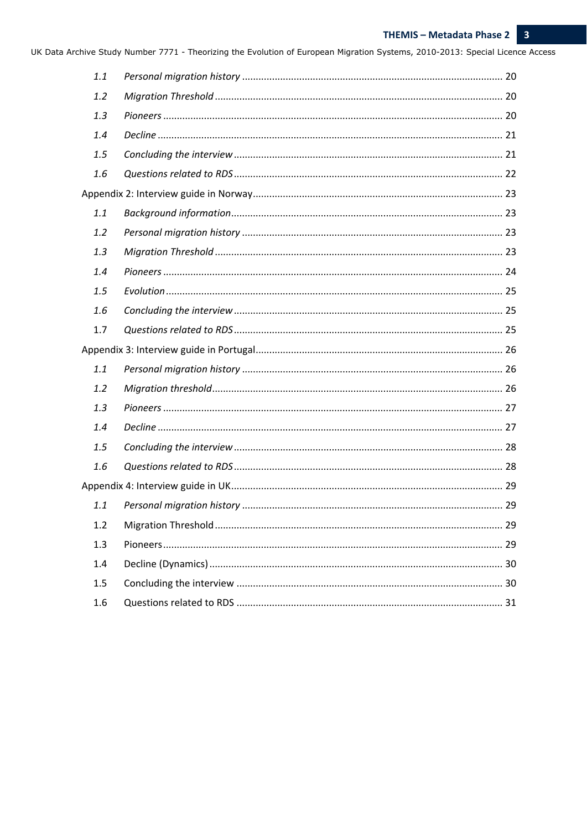| 1.1 |    |
|-----|----|
| 1.2 |    |
| 1.3 |    |
| 1.4 |    |
| 1.5 |    |
| 1.6 |    |
|     |    |
| 1.1 |    |
| 1.2 |    |
| 1.3 |    |
| 1.4 |    |
| 1.5 |    |
| 1.6 |    |
| 1.7 |    |
|     |    |
| 1.1 |    |
| 1.2 |    |
| 1.3 |    |
| 1.4 |    |
| 1.5 |    |
| 1.6 |    |
|     |    |
| 1.1 |    |
| 1.2 | 29 |
| 1.3 |    |
| 1.4 |    |
| 1.5 |    |
| 1.6 |    |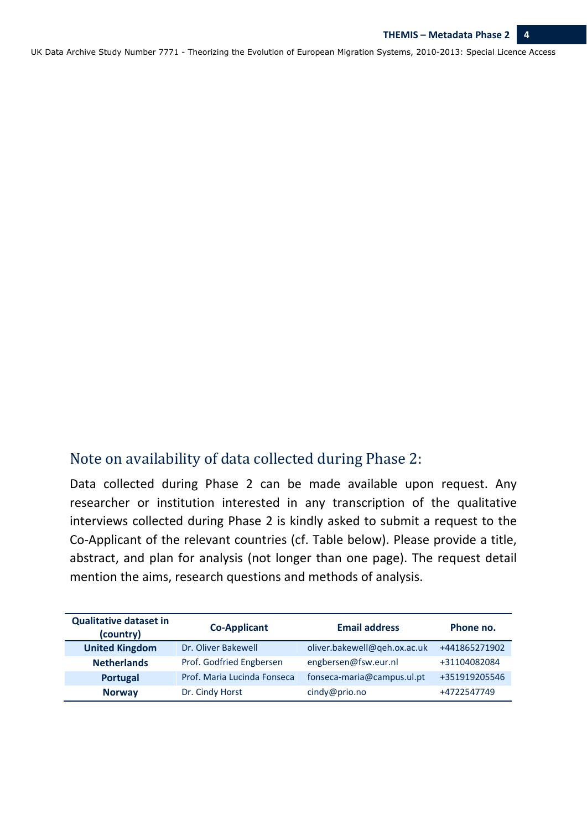# Note on availability of data collected during Phase 2:

Data collected during Phase 2 can be made available upon request. Any researcher or institution interested in any transcription of the qualitative interviews collected during Phase 2 is kindly asked to submit a request to the Co‐Applicant of the relevant countries (cf. Table below). Please provide a title, abstract, and plan for analysis (not longer than one page). The request detail mention the aims, research questions and methods of analysis.

| <b>Qualitative dataset in</b><br>(country) | <b>Co-Applicant</b>         | <b>Email address</b>         | Phone no.     |
|--------------------------------------------|-----------------------------|------------------------------|---------------|
| <b>United Kingdom</b>                      | Dr. Oliver Bakewell         | oliver.bakewell@qeh.ox.ac.uk | +441865271902 |
| <b>Netherlands</b>                         | Prof. Godfried Engbersen    | engbersen@fsw.eur.nl         | +31104082084  |
| Portugal                                   | Prof. Maria Lucinda Fonseca | fonseca-maria@campus.ul.pt   | +351919205546 |
| <b>Norway</b>                              | Dr. Cindy Horst             | cindy@prio.no                | +4722547749   |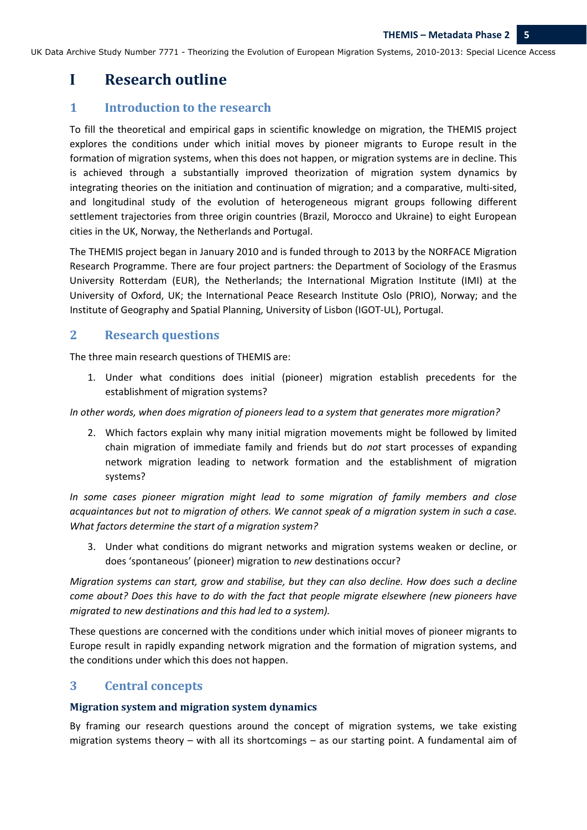# **I Research outline**

# **1 Introduction to the research**

To fill the theoretical and empirical gaps in scientific knowledge on migration, the THEMIS project explores the conditions under which initial moves by pioneer migrants to Europe result in the formation of migration systems, when this does not happen, or migration systems are in decline. This is achieved through a substantially improved theorization of migration system dynamics by integrating theories on the initiation and continuation of migration; and a comparative, multi-sited, and longitudinal study of the evolution of heterogeneous migrant groups following different settlement trajectories from three origin countries (Brazil, Morocco and Ukraine) to eight European cities in the UK, Norway, the Netherlands and Portugal.

The THEMIS project began in January 2010 and is funded through to 2013 by the NORFACE Migration Research Programme. There are four project partners: the Department of Sociology of the Erasmus University Rotterdam (EUR), the Netherlands; the International Migration Institute (IMI) at the University of Oxford, UK; the International Peace Research Institute Oslo (PRIO), Norway; and the Institute of Geography and Spatial Planning, University of Lisbon (IGOT‐UL), Portugal.

# **2 Research questions**

The three main research questions of THEMIS are:

1. Under what conditions does initial (pioneer) migration establish precedents for the establishment of migration systems?

*In other words, when does migration of pioneers lead to a system that generates more migration?* 

2. Which factors explain why many initial migration movements might be followed by limited chain migration of immediate family and friends but do *not* start processes of expanding network migration leading to network formation and the establishment of migration systems?

*In some cases pioneer migration might lead to some migration of family members and close* acquaintances but not to migration of others. We cannot speak of a migration system in such a case. *What factors determine the start of a migration system?* 

3. Under what conditions do migrant networks and migration systems weaken or decline, or does 'spontaneous' (pioneer) migration to *new* destinations occur?

*Migration systems can start, grow and stabilise, but they can also decline. How does such a decline come about? Does this have to do with the fact that people migrate elsewhere (new pioneers have migrated to new destinations and this had led to a system).* 

These questions are concerned with the conditions under which initial moves of pioneer migrants to Europe result in rapidly expanding network migration and the formation of migration systems, and the conditions under which this does not happen.

# **3 Central concepts**

#### **Migration system and migration system dynamics**

By framing our research questions around the concept of migration systems, we take existing migration systems theory – with all its shortcomings – as our starting point. A fundamental aim of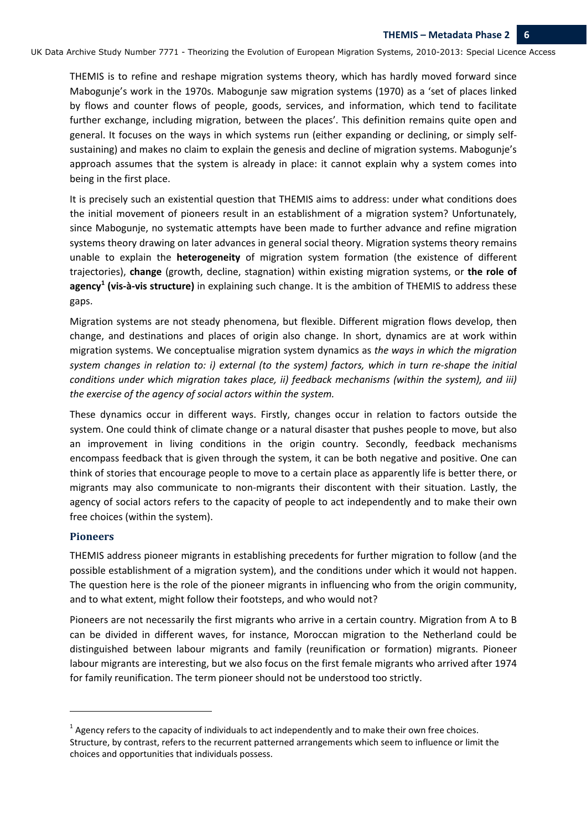THEMIS is to refine and reshape migration systems theory, which has hardly moved forward since Mabogunje's work in the 1970s. Mabogunje saw migration systems (1970) as a 'set of places linked by flows and counter flows of people, goods, services, and information, which tend to facilitate further exchange, including migration, between the places'. This definition remains quite open and general. It focuses on the ways in which systems run (either expanding or declining, or simply self‐ sustaining) and makes no claim to explain the genesis and decline of migration systems. Mabogunje's approach assumes that the system is already in place: it cannot explain why a system comes into being in the first place.

It is precisely such an existential question that THEMIS aims to address: under what conditions does the initial movement of pioneers result in an establishment of a migration system? Unfortunately, since Mabogunje, no systematic attempts have been made to further advance and refine migration systems theory drawing on later advances in general social theory. Migration systems theory remains unable to explain the **heterogeneity** of migration system formation (the existence of different trajectories), **change** (growth, decline, stagnation) within existing migration systems, or **the role of agency<sup>1</sup> (vis‐à‐vis structure)** in explaining such change. It is the ambition of THEMIS to address these gaps.

Migration systems are not steady phenomena, but flexible. Different migration flows develop, then change, and destinations and places of origin also change. In short, dynamics are at work within migration systems. We conceptualise migration system dynamics as *the ways in which the migration* system changes in relation to: i) external (to the system) factors, which in turn re-shape the initial *conditions under which migration takes place, ii) feedback mechanisms (within the system), and iii) the exercise of the agency of social actors within the system.*

These dynamics occur in different ways. Firstly, changes occur in relation to factors outside the system. One could think of climate change or a natural disaster that pushes people to move, but also an improvement in living conditions in the origin country. Secondly, feedback mechanisms encompass feedback that is given through the system, it can be both negative and positive. One can think of stories that encourage people to move to a certain place as apparently life is better there, or migrants may also communicate to non-migrants their discontent with their situation. Lastly, the agency of social actors refers to the capacity of people to act independently and to make their own free choices (within the system).

#### **Pioneers**

THEMIS address pioneer migrants in establishing precedents for further migration to follow (and the possible establishment of a migration system), and the conditions under which it would not happen. The question here is the role of the pioneer migrants in influencing who from the origin community, and to what extent, might follow their footsteps, and who would not?

Pioneers are not necessarily the first migrants who arrive in a certain country. Migration from A to B can be divided in different waves, for instance, Moroccan migration to the Netherland could be distinguished between labour migrants and family (reunification or formation) migrants. Pioneer labour migrants are interesting, but we also focus on the first female migrants who arrived after 1974 for family reunification. The term pioneer should not be understood too strictly.

 $1$  Agency refers to the capacity of individuals to act independently and to make their own free choices. Structure, by contrast, refers to the recurrent patterned arrangements which seem to influence or limit the choices and opportunities that individuals possess.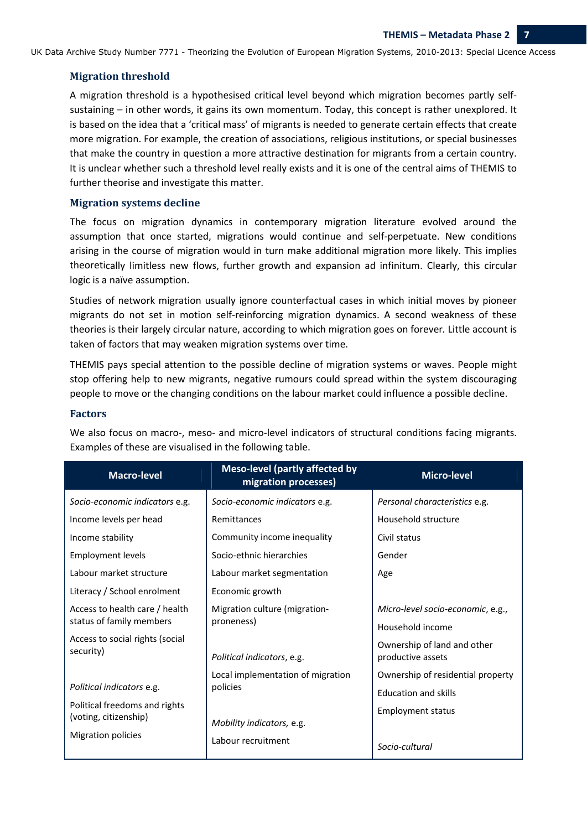#### **Migration threshold**

A migration threshold is a hypothesised critical level beyond which migration becomes partly self‐ sustaining – in other words, it gains its own momentum. Today, this concept is rather unexplored. It is based on the idea that a 'critical mass' of migrants is needed to generate certain effects that create more migration. For example, the creation of associations, religious institutions, or special businesses that make the country in question a more attractive destination for migrants from a certain country. It is unclear whether such a threshold level really exists and it is one of the central aims of THEMIS to further theorise and investigate this matter.

#### **Migration systems decline**

The focus on migration dynamics in contemporary migration literature evolved around the assumption that once started, migrations would continue and self‐perpetuate. New conditions arising in the course of migration would in turn make additional migration more likely. This implies theoretically limitless new flows, further growth and expansion ad infinitum. Clearly, this circular logic is a naïve assumption.

Studies of network migration usually ignore counterfactual cases in which initial moves by pioneer migrants do not set in motion self‐reinforcing migration dynamics. A second weakness of these theories is their largely circular nature, according to which migration goes on forever*.* Little account is taken of factors that may weaken migration systems over time.

THEMIS pays special attention to the possible decline of migration systems or waves. People might stop offering help to new migrants, negative rumours could spread within the system discouraging people to move or the changing conditions on the labour market could influence a possible decline.

#### **Factors**

| Macro-level                                  | <b>Meso-level (partly affected by</b><br>migration processes) | <b>Micro-level</b>                |
|----------------------------------------------|---------------------------------------------------------------|-----------------------------------|
| Socio-economic indicators e.g.               | Socio-economic indicators e.g.                                | Personal characteristics e.g.     |
| Income levels per head                       | Remittances                                                   | Household structure               |
| Income stability                             | Community income inequality                                   | Civil status                      |
| <b>Employment levels</b>                     | Socio-ethnic hierarchies                                      | Gender                            |
| Labour market structure                      | Labour market segmentation                                    | Age                               |
| Literacy / School enrolment                  | Economic growth                                               |                                   |
| Access to health care / health               | Migration culture (migration-                                 | Micro-level socio-economic, e.g., |
| status of family members                     | proneness)                                                    | Household income                  |
| Access to social rights (social<br>security) |                                                               | Ownership of land and other       |
|                                              | Political indicators, e.g.                                    | productive assets                 |
|                                              | Local implementation of migration                             | Ownership of residential property |
| Political indicators e.g.                    | policies                                                      | <b>Education and skills</b>       |
| Political freedoms and rights                |                                                               | <b>Employment status</b>          |
| (voting, citizenship)                        | Mobility indicators, e.g.                                     |                                   |
| Migration policies                           | Labour recruitment                                            | Socio-cultural                    |

We also focus on macro-, meso- and micro-level indicators of structural conditions facing migrants. Examples of these are visualised in the following table.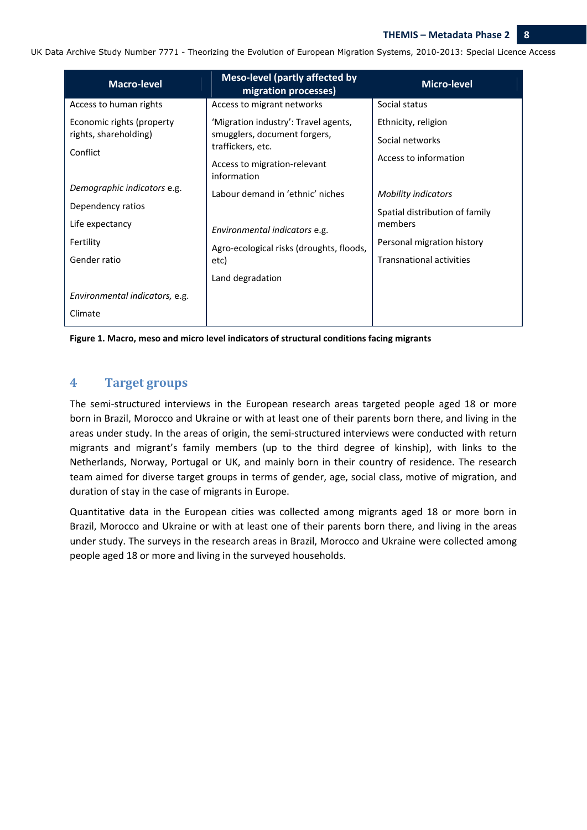| <b>Macro-level</b>             | <b>Meso-level (partly affected by</b><br>migration processes) | <b>Micro-level</b>              |
|--------------------------------|---------------------------------------------------------------|---------------------------------|
| Access to human rights         | Access to migrant networks                                    | Social status                   |
| Economic rights (property      | 'Migration industry': Travel agents,                          | Ethnicity, religion             |
| rights, shareholding)          | smugglers, document forgers,<br>traffickers, etc.             | Social networks                 |
| Conflict                       | Access to migration-relevant<br>information                   | Access to information           |
| Demographic indicators e.g.    | Labour demand in 'ethnic' niches                              | <b>Mobility indicators</b>      |
| Dependency ratios              |                                                               | Spatial distribution of family  |
| Life expectancy                | Environmental indicators e.g.                                 | members                         |
| Fertility                      | Agro-ecological risks (droughts, floods,                      | Personal migration history      |
| Gender ratio                   | etc)                                                          | <b>Transnational activities</b> |
|                                | Land degradation                                              |                                 |
| Environmental indicators, e.g. |                                                               |                                 |
| Climate                        |                                                               |                                 |

**Figure 1. Macro, meso and micro level indicators of structural conditions facing migrants** 

# **4 Target groups**

The semi-structured interviews in the European research areas targeted people aged 18 or more born in Brazil, Morocco and Ukraine or with at least one of their parents born there, and living in the areas under study. In the areas of origin, the semi‐structured interviews were conducted with return migrants and migrant's family members (up to the third degree of kinship), with links to the Netherlands, Norway, Portugal or UK, and mainly born in their country of residence. The research team aimed for diverse target groups in terms of gender, age, social class, motive of migration, and duration of stay in the case of migrants in Europe.

Quantitative data in the European cities was collected among migrants aged 18 or more born in Brazil, Morocco and Ukraine or with at least one of their parents born there, and living in the areas under study. The surveys in the research areas in Brazil, Morocco and Ukraine were collected among people aged 18 or more and living in the surveyed households.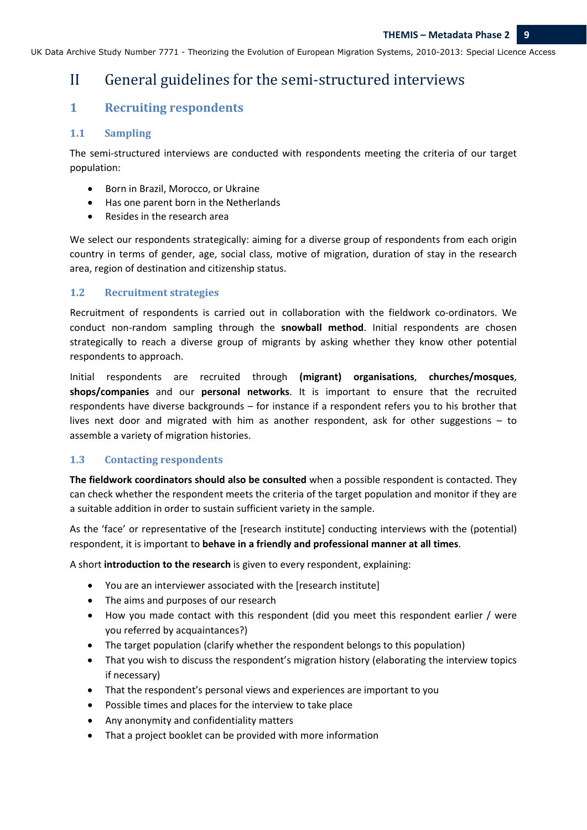# II General guidelines for the semi-structured interviews

# **1 Recruiting respondents**

# 1.1 **Sampling**

The semi-structured interviews are conducted with respondents meeting the criteria of our target population:

- Born in Brazil, Morocco, or Ukraine
- Has one parent born in the Netherlands
- Resides in the research area

We select our respondents strategically: aiming for a diverse group of respondents from each origin country in terms of gender, age, social class, motive of migration, duration of stay in the research area, region of destination and citizenship status.

# **1.2 Recruitment strategies**

Recruitment of respondents is carried out in collaboration with the fieldwork co-ordinators. We conduct non‐random sampling through the **snowball method**. Initial respondents are chosen strategically to reach a diverse group of migrants by asking whether they know other potential respondents to approach.

Initial respondents are recruited through **(migrant) organisations**, **churches/mosques**, **shops/companies** and our **personal networks**. It is important to ensure that the recruited respondents have diverse backgrounds – for instance if a respondent refers you to his brother that lives next door and migrated with him as another respondent, ask for other suggestions – to assemble a variety of migration histories.

## **1.3 Contacting respondents**

**The fieldwork coordinators should also be consulted** when a possible respondent is contacted. They can check whether the respondent meets the criteria of the target population and monitor if they are a suitable addition in order to sustain sufficient variety in the sample.

As the 'face' or representative of the [research institute] conducting interviews with the (potential) respondent, it is important to **behave in a friendly and professional manner at all times**.

A short **introduction to the research** is given to every respondent, explaining:

- You are an interviewer associated with the [research institute]
- The aims and purposes of our research
- How you made contact with this respondent (did you meet this respondent earlier / were you referred by acquaintances?)
- The target population (clarify whether the respondent belongs to this population)
- That you wish to discuss the respondent's migration history (elaborating the interview topics if necessary)
- That the respondent's personal views and experiences are important to you
- Possible times and places for the interview to take place
- Any anonymity and confidentiality matters
- That a project booklet can be provided with more information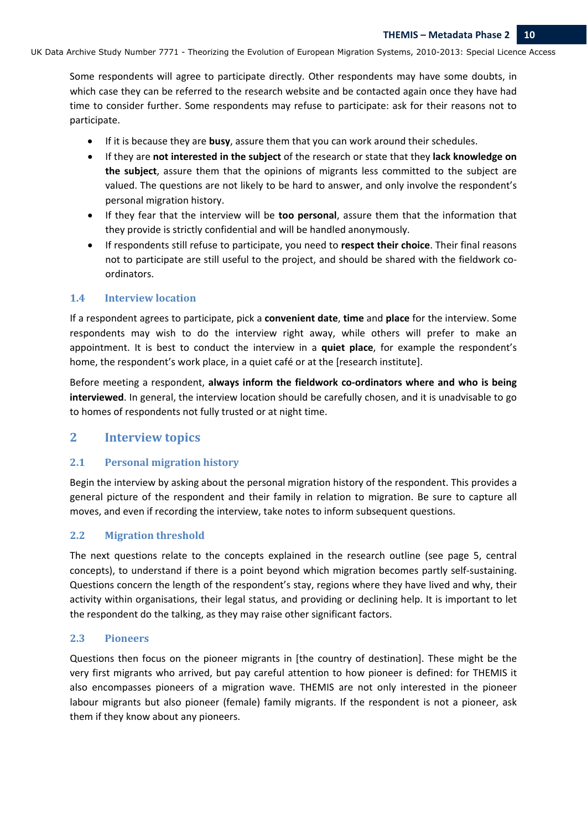Some respondents will agree to participate directly. Other respondents may have some doubts, in which case they can be referred to the research website and be contacted again once they have had time to consider further. Some respondents may refuse to participate: ask for their reasons not to participate.

- If it is because they are **busy**, assure them that you can work around their schedules.
- If they are **not interested in the subject** of the research or state that they **lack knowledge on the subject**, assure them that the opinions of migrants less committed to the subject are valued. The questions are not likely to be hard to answer, and only involve the respondent's personal migration history.
- If they fear that the interview will be **too personal**, assure them that the information that they provide is strictly confidential and will be handled anonymously.
- If respondents still refuse to participate, you need to **respect their choice**. Their final reasons not to participate are still useful to the project, and should be shared with the fieldwork coordinators.

#### **1.4 Interview location**

If a respondent agrees to participate, pick a **convenient date**, **time** and **place** for the interview. Some respondents may wish to do the interview right away, while others will prefer to make an appointment. It is best to conduct the interview in a **quiet place**, for example the respondent's home, the respondent's work place, in a quiet café or at the [research institute].

Before meeting a respondent, always inform the fieldwork co-ordinators where and who is being **interviewed**. In general, the interview location should be carefully chosen, and it is unadvisable to go to homes of respondents not fully trusted or at night time.

# **2 Interview topics**

## **2.1 Personal migration history**

Begin the interview by asking about the personal migration history of the respondent. This provides a general picture of the respondent and their family in relation to migration. Be sure to capture all moves, and even if recording the interview, take notes to inform subsequent questions.

#### **2.2 Migration threshold**

The next questions relate to the concepts explained in the research outline (see page 5, central concepts), to understand if there is a point beyond which migration becomes partly self-sustaining. Questions concern the length of the respondent's stay, regions where they have lived and why, their activity within organisations, their legal status, and providing or declining help. It is important to let the respondent do the talking, as they may raise other significant factors.

#### **2.3 Pioneers**

Questions then focus on the pioneer migrants in [the country of destination]. These might be the very first migrants who arrived, but pay careful attention to how pioneer is defined: for THEMIS it also encompasses pioneers of a migration wave. THEMIS are not only interested in the pioneer labour migrants but also pioneer (female) family migrants. If the respondent is not a pioneer, ask them if they know about any pioneers.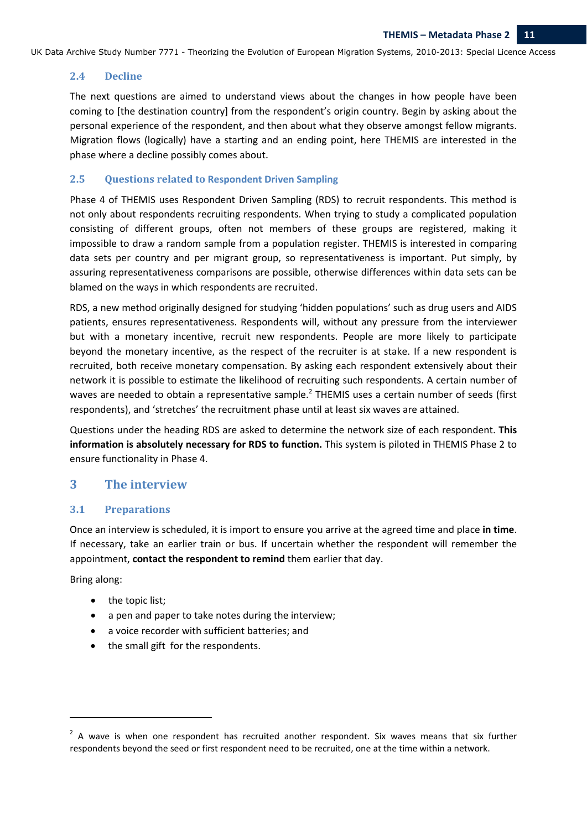### **2.4 Decline**

The next questions are aimed to understand views about the changes in how people have been coming to [the destination country] from the respondent's origin country. Begin by asking about the personal experience of the respondent, and then about what they observe amongst fellow migrants. Migration flows (logically) have a starting and an ending point, here THEMIS are interested in the phase where a decline possibly comes about.

#### **2.5 Questions related to Respondent Driven Sampling**

Phase 4 of THEMIS uses Respondent Driven Sampling (RDS) to recruit respondents. This method is not only about respondents recruiting respondents. When trying to study a complicated population consisting of different groups, often not members of these groups are registered, making it impossible to draw a random sample from a population register. THEMIS is interested in comparing data sets per country and per migrant group, so representativeness is important. Put simply, by assuring representativeness comparisons are possible, otherwise differences within data sets can be blamed on the ways in which respondents are recruited.

RDS, a new method originally designed for studying 'hidden populations' such as drug users and AIDS patients, ensures representativeness. Respondents will, without any pressure from the interviewer but with a monetary incentive, recruit new respondents. People are more likely to participate beyond the monetary incentive, as the respect of the recruiter is at stake. If a new respondent is recruited, both receive monetary compensation. By asking each respondent extensively about their network it is possible to estimate the likelihood of recruiting such respondents. A certain number of waves are needed to obtain a representative sample.<sup>2</sup> THEMIS uses a certain number of seeds (first respondents), and 'stretches' the recruitment phase until at least six waves are attained.

Questions under the heading RDS are asked to determine the network size of each respondent. **This information is absolutely necessary for RDS to function.** This system is piloted in THEMIS Phase 2 to ensure functionality in Phase 4.

## **3 The interview**

## **3.1 Preparations**

Once an interview is scheduled, it is import to ensure you arrive at the agreed time and place **in time**. If necessary, take an earlier train or bus. If uncertain whether the respondent will remember the appointment, **contact the respondent to remind** them earlier that day.

Bring along:

• the topic list;

- a pen and paper to take notes during the interview;
- a voice recorder with sufficient batteries; and
- the small gift for the respondents.

 $2$  A wave is when one respondent has recruited another respondent. Six waves means that six further respondents beyond the seed or first respondent need to be recruited, one at the time within a network.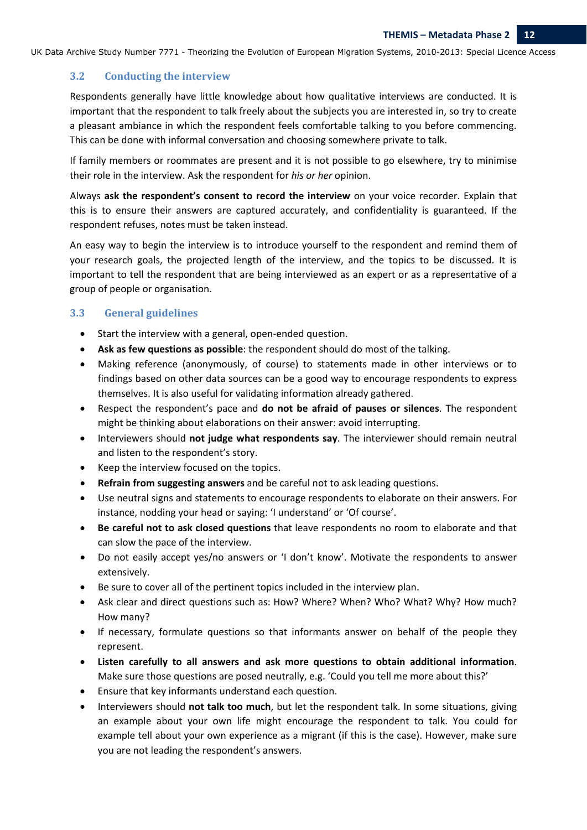### **3.2 Conducting the interview**

Respondents generally have little knowledge about how qualitative interviews are conducted. It is important that the respondent to talk freely about the subjects you are interested in, so try to create a pleasant ambiance in which the respondent feels comfortable talking to you before commencing. This can be done with informal conversation and choosing somewhere private to talk.

If family members or roommates are present and it is not possible to go elsewhere, try to minimise their role in the interview. Ask the respondent for *his or her* opinion.

Always **ask the respondent's consent to record the interview** on your voice recorder. Explain that this is to ensure their answers are captured accurately, and confidentiality is guaranteed. If the respondent refuses, notes must be taken instead.

An easy way to begin the interview is to introduce yourself to the respondent and remind them of your research goals, the projected length of the interview, and the topics to be discussed. It is important to tell the respondent that are being interviewed as an expert or as a representative of a group of people or organisation.

#### **3.3 General guidelines**

- Start the interview with a general, open‐ended question.
- **Ask as few questions as possible**: the respondent should do most of the talking.
- Making reference (anonymously, of course) to statements made in other interviews or to findings based on other data sources can be a good way to encourage respondents to express themselves. It is also useful for validating information already gathered.
- Respect the respondent's pace and **do not be afraid of pauses or silences**. The respondent might be thinking about elaborations on their answer: avoid interrupting.
- Interviewers should **not judge what respondents say**. The interviewer should remain neutral and listen to the respondent's story.
- Keep the interview focused on the topics.
- **Refrain from suggesting answers** and be careful not to ask leading questions.
- Use neutral signs and statements to encourage respondents to elaborate on their answers. For instance, nodding your head or saying: 'I understand' or 'Of course'.
- **Be careful not to ask closed questions** that leave respondents no room to elaborate and that can slow the pace of the interview.
- Do not easily accept yes/no answers or 'I don't know'. Motivate the respondents to answer extensively.
- Be sure to cover all of the pertinent topics included in the interview plan.
- Ask clear and direct questions such as: How? Where? When? Who? What? Why? How much? How many?
- If necessary, formulate questions so that informants answer on behalf of the people they represent.
- **Listen carefully to all answers and ask more questions to obtain additional information**. Make sure those questions are posed neutrally, e.g. 'Could you tell me more about this?'
- Ensure that key informants understand each question.
- Interviewers should **not talk too much**, but let the respondent talk. In some situations, giving an example about your own life might encourage the respondent to talk. You could for example tell about your own experience as a migrant (if this is the case). However, make sure you are not leading the respondent's answers.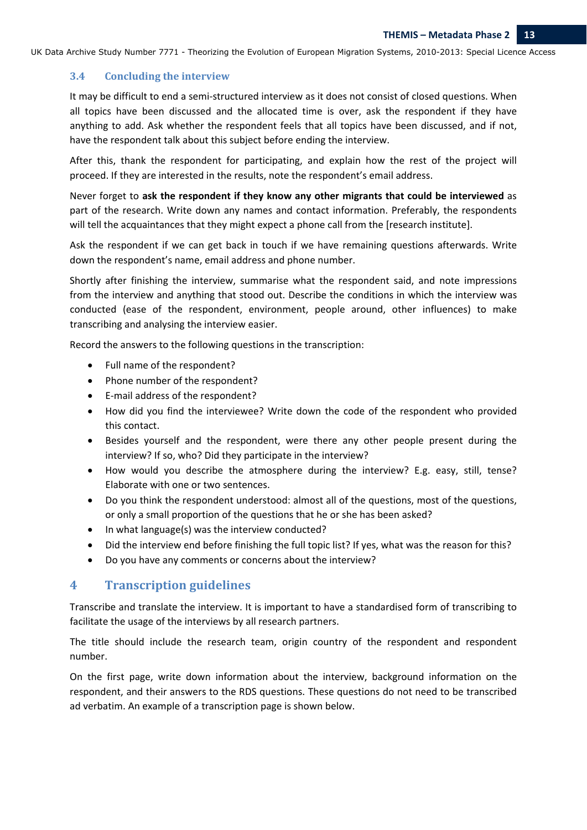#### **3.4 Concluding the interview**

It may be difficult to end a semi‐structured interview as it does not consist of closed questions. When all topics have been discussed and the allocated time is over, ask the respondent if they have anything to add. Ask whether the respondent feels that all topics have been discussed, and if not, have the respondent talk about this subject before ending the interview.

After this, thank the respondent for participating, and explain how the rest of the project will proceed. If they are interested in the results, note the respondent's email address.

Never forget to **ask the respondent if they know any other migrants that could be interviewed** as part of the research. Write down any names and contact information. Preferably, the respondents will tell the acquaintances that they might expect a phone call from the [research institute].

Ask the respondent if we can get back in touch if we have remaining questions afterwards. Write down the respondent's name, email address and phone number.

Shortly after finishing the interview, summarise what the respondent said, and note impressions from the interview and anything that stood out. Describe the conditions in which the interview was conducted (ease of the respondent, environment, people around, other influences) to make transcribing and analysing the interview easier.

Record the answers to the following questions in the transcription:

- Full name of the respondent?
- Phone number of the respondent?
- E‐mail address of the respondent?
- How did you find the interviewee? Write down the code of the respondent who provided this contact.
- Besides yourself and the respondent, were there any other people present during the interview? If so, who? Did they participate in the interview?
- How would you describe the atmosphere during the interview? E.g. easy, still, tense? Elaborate with one or two sentences.
- Do you think the respondent understood: almost all of the questions, most of the questions, or only a small proportion of the questions that he or she has been asked?
- In what language(s) was the interview conducted?
- Did the interview end before finishing the full topic list? If yes, what was the reason for this?
- Do you have any comments or concerns about the interview?

# **4 Transcription guidelines**

Transcribe and translate the interview. It is important to have a standardised form of transcribing to facilitate the usage of the interviews by all research partners.

The title should include the research team, origin country of the respondent and respondent number.

On the first page, write down information about the interview, background information on the respondent, and their answers to the RDS questions. These questions do not need to be transcribed ad verbatim. An example of a transcription page is shown below.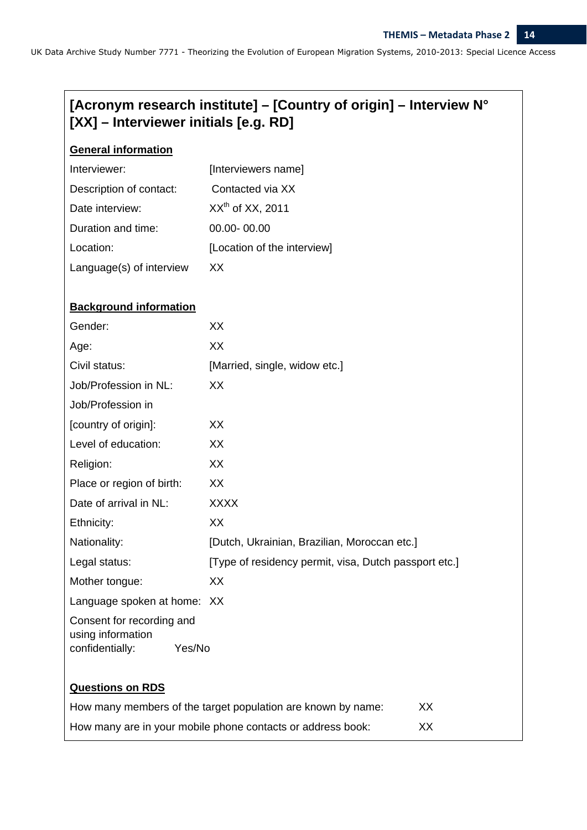# **[Acronym research institute] – [Country of origin] – Interview N° [XX] – Interviewer initials [e.g. RD]**

# **General information**

| Interviewer:             | [Interviewers name]         |
|--------------------------|-----------------------------|
| Description of contact:  | Contacted via XX            |
| Date interview:          | $XXth$ of XX, 2011          |
| Duration and time:       | 00.00-00.00                 |
| Location:                | [Location of the interview] |
| Language(s) of interview | XX.                         |

#### **Background information**

| Gender:                                        | XX                                                           |    |
|------------------------------------------------|--------------------------------------------------------------|----|
| Age:                                           | XX                                                           |    |
| Civil status:                                  | [Married, single, widow etc.]                                |    |
| Job/Profession in NL:                          | XX                                                           |    |
| Job/Profession in                              |                                                              |    |
| [country of origin]:                           | XX                                                           |    |
| Level of education:                            | XX                                                           |    |
| Religion:                                      | XX                                                           |    |
| Place or region of birth:                      | XX                                                           |    |
| Date of arrival in NL:                         | <b>XXXX</b>                                                  |    |
| Ethnicity:                                     | XX                                                           |    |
| Nationality:                                   | [Dutch, Ukrainian, Brazilian, Moroccan etc.]                 |    |
| Legal status:                                  | [Type of residency permit, visa, Dutch passport etc.]        |    |
| Mother tongue:                                 | XX                                                           |    |
| Language spoken at home: XX                    |                                                              |    |
| Consent for recording and                      |                                                              |    |
| using information<br>Yes/No<br>confidentially: |                                                              |    |
|                                                |                                                              |    |
| <b>Questions on RDS</b>                        |                                                              |    |
|                                                | How many members of the target population are known by name: | XX |
|                                                | How many are in your mobile phone contacts or address book:  | XX |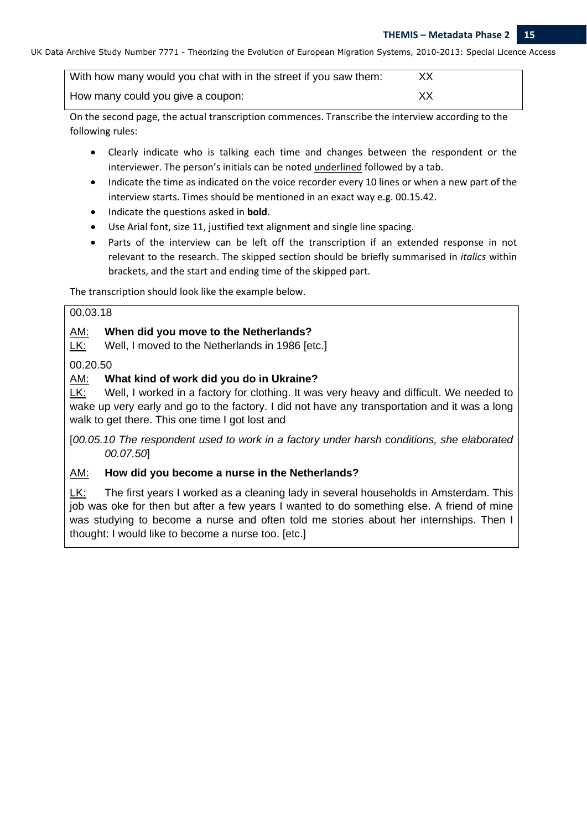| With how many would you chat with in the street if you saw them: |    |
|------------------------------------------------------------------|----|
| How many could you give a coupon:                                | XХ |

On the second page, the actual transcription commences. Transcribe the interview according to the following rules:

- Clearly indicate who is talking each time and changes between the respondent or the interviewer. The person's initials can be noted underlined followed by a tab.
- Indicate the time as indicated on the voice recorder every 10 lines or when a new part of the interview starts. Times should be mentioned in an exact way e.g. 00.15.42.
- Indicate the questions asked in **bold**.
- Use Arial font, size 11, justified text alignment and single line spacing.
- Parts of the interview can be left off the transcription if an extended response in not relevant to the research. The skipped section should be briefly summarised in *italics* within brackets, and the start and ending time of the skipped part.

The transcription should look like the example below.

#### 00.03.18

# AM: **When did you move to the Netherlands?**

LK: Well, I moved to the Netherlands in 1986 [etc.]

# 00.20.50

# AM: **What kind of work did you do in Ukraine?**

LK: Well, I worked in a factory for clothing. It was very heavy and difficult. We needed to wake up very early and go to the factory. I did not have any transportation and it was a long walk to get there. This one time I got lost and

[*00.05.10 The respondent used to work in a factory under harsh conditions, she elaborated 00.07.50*]

# AM: **How did you become a nurse in the Netherlands?**

LK: The first years I worked as a cleaning lady in several households in Amsterdam. This job was oke for then but after a few years I wanted to do something else. A friend of mine was studying to become a nurse and often told me stories about her internships. Then I thought: I would like to become a nurse too. [etc.]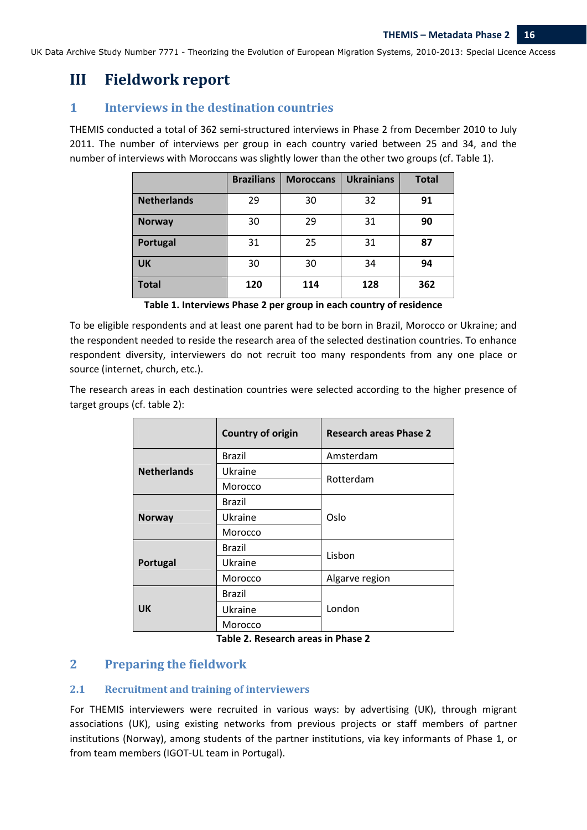# **III Fieldwork report**

# **1 Interviews in the destination countries**

THEMIS conducted a total of 362 semi‐structured interviews in Phase 2 from December 2010 to July 2011. The number of interviews per group in each country varied between 25 and 34, and the number of interviews with Moroccans was slightly lower than the other two groups (cf. Table 1).

|                    | <b>Brazilians</b> | <b>Moroccans</b> | <b>Ukrainians</b> | <b>Total</b> |
|--------------------|-------------------|------------------|-------------------|--------------|
| <b>Netherlands</b> | 29                | 30               | 32                | 91           |
| <b>Norway</b>      | 30                | 29               | 31                | 90           |
| Portugal           | 31                | 25               | 31                | 87           |
| <b>UK</b>          | 30                | 30               | 34                | 94           |
| <b>Total</b>       | 120               | 114              | 128               | 362          |

**Table 1. Interviews Phase 2 per group in each country of residence** 

To be eligible respondents and at least one parent had to be born in Brazil, Morocco or Ukraine; and the respondent needed to reside the research area of the selected destination countries. To enhance respondent diversity, interviewers do not recruit too many respondents from any one place or source (internet, church, etc.).

The research areas in each destination countries were selected according to the higher presence of target groups (cf. table 2):

|                    | <b>Country of origin</b> | <b>Research areas Phase 2</b> |  |
|--------------------|--------------------------|-------------------------------|--|
|                    | <b>Brazil</b>            | Amsterdam                     |  |
| <b>Netherlands</b> | Ukraine                  | Rotterdam                     |  |
|                    | Morocco                  |                               |  |
|                    | Brazil                   |                               |  |
| <b>Norway</b>      | Ukraine                  | Oslo                          |  |
|                    | Morocco                  |                               |  |
|                    | Brazil                   | Lisbon                        |  |
| Portugal           | Ukraine                  |                               |  |
|                    | Morocco                  | Algarve region                |  |
|                    | Brazil                   |                               |  |
| <b>UK</b>          | Ukraine                  | London                        |  |
|                    | Morocco                  |                               |  |

**Table 2. Research areas in Phase 2** 

# **2 Preparing the fieldwork**

# **2.1 Recruitment and training of interviewers**

For THEMIS interviewers were recruited in various ways: by advertising (UK), through migrant associations (UK), using existing networks from previous projects or staff members of partner institutions (Norway), among students of the partner institutions, via key informants of Phase 1, or from team members (IGOT‐UL team in Portugal).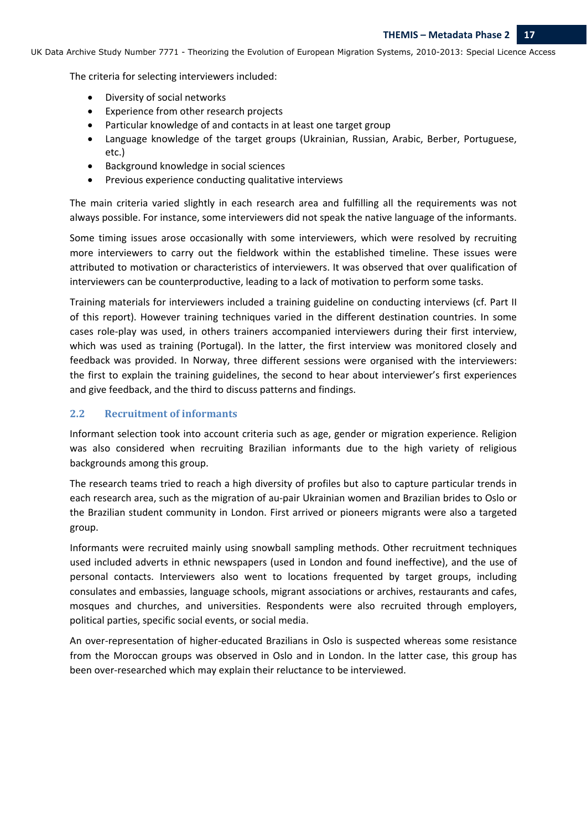The criteria for selecting interviewers included:

- Diversity of social networks
- Experience from other research projects
- Particular knowledge of and contacts in at least one target group
- Language knowledge of the target groups (Ukrainian, Russian, Arabic, Berber, Portuguese, etc.)
- Background knowledge in social sciences
- Previous experience conducting qualitative interviews

The main criteria varied slightly in each research area and fulfilling all the requirements was not always possible. For instance, some interviewers did not speak the native language of the informants.

Some timing issues arose occasionally with some interviewers, which were resolved by recruiting more interviewers to carry out the fieldwork within the established timeline. These issues were attributed to motivation or characteristics of interviewers. It was observed that over qualification of interviewers can be counterproductive, leading to a lack of motivation to perform some tasks.

Training materials for interviewers included a training guideline on conducting interviews (cf. Part II of this report). However training techniques varied in the different destination countries. In some cases role‐play was used, in others trainers accompanied interviewers during their first interview, which was used as training (Portugal). In the latter, the first interview was monitored closely and feedback was provided. In Norway, three different sessions were organised with the interviewers: the first to explain the training guidelines, the second to hear about interviewer's first experiences and give feedback, and the third to discuss patterns and findings.

## **2.2 Recruitment of informants**

Informant selection took into account criteria such as age, gender or migration experience. Religion was also considered when recruiting Brazilian informants due to the high variety of religious backgrounds among this group.

The research teams tried to reach a high diversity of profiles but also to capture particular trends in each research area, such as the migration of au‐pair Ukrainian women and Brazilian brides to Oslo or the Brazilian student community in London. First arrived or pioneers migrants were also a targeted group.

Informants were recruited mainly using snowball sampling methods. Other recruitment techniques used included adverts in ethnic newspapers (used in London and found ineffective), and the use of personal contacts. Interviewers also went to locations frequented by target groups, including consulates and embassies, language schools, migrant associations or archives, restaurants and cafes, mosques and churches, and universities. Respondents were also recruited through employers, political parties, specific social events, or social media.

An over‐representation of higher‐educated Brazilians in Oslo is suspected whereas some resistance from the Moroccan groups was observed in Oslo and in London. In the latter case, this group has been over-researched which may explain their reluctance to be interviewed.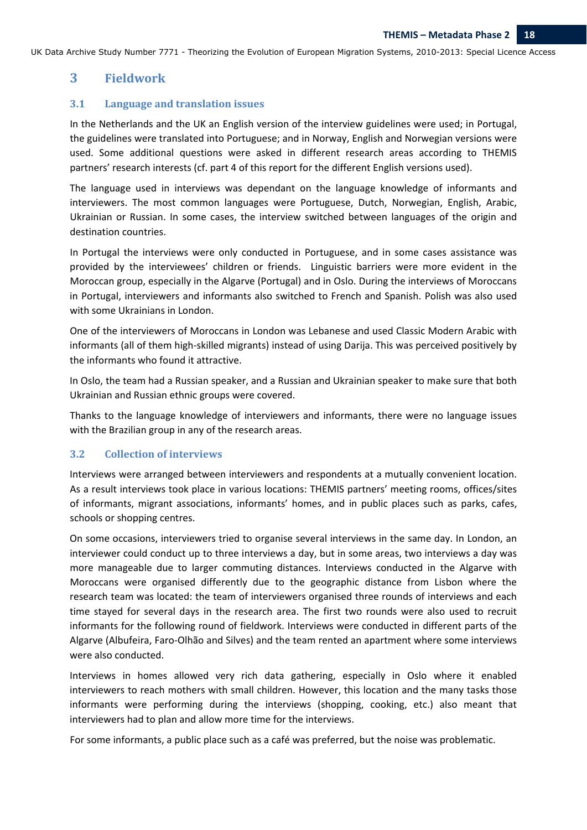# **3 Fieldwork**

#### **3.1 Language and translation issues**

In the Netherlands and the UK an English version of the interview guidelines were used; in Portugal, the guidelines were translated into Portuguese; and in Norway, English and Norwegian versions were used. Some additional questions were asked in different research areas according to THEMIS partners' research interests (cf. part 4 of this report for the different English versions used).

The language used in interviews was dependant on the language knowledge of informants and interviewers. The most common languages were Portuguese, Dutch, Norwegian, English, Arabic, Ukrainian or Russian. In some cases, the interview switched between languages of the origin and destination countries.

In Portugal the interviews were only conducted in Portuguese, and in some cases assistance was provided by the interviewees' children or friends. Linguistic barriers were more evident in the Moroccan group, especially in the Algarve (Portugal) and in Oslo. During the interviews of Moroccans in Portugal, interviewers and informants also switched to French and Spanish. Polish was also used with some Ukrainians in London.

One of the interviewers of Moroccans in London was Lebanese and used Classic Modern Arabic with informants (all of them high‐skilled migrants) instead of using Darija. This was perceived positively by the informants who found it attractive.

In Oslo, the team had a Russian speaker, and a Russian and Ukrainian speaker to make sure that both Ukrainian and Russian ethnic groups were covered.

Thanks to the language knowledge of interviewers and informants, there were no language issues with the Brazilian group in any of the research areas.

#### **3.2 Collection of interviews**

Interviews were arranged between interviewers and respondents at a mutually convenient location. As a result interviews took place in various locations: THEMIS partners' meeting rooms, offices/sites of informants, migrant associations, informants' homes, and in public places such as parks, cafes, schools or shopping centres.

On some occasions, interviewers tried to organise several interviews in the same day. In London, an interviewer could conduct up to three interviews a day, but in some areas, two interviews a day was more manageable due to larger commuting distances. Interviews conducted in the Algarve with Moroccans were organised differently due to the geographic distance from Lisbon where the research team was located: the team of interviewers organised three rounds of interviews and each time stayed for several days in the research area. The first two rounds were also used to recruit informants for the following round of fieldwork. Interviews were conducted in different parts of the Algarve (Albufeira, Faro‐Olhão and Silves) and the team rented an apartment where some interviews were also conducted.

Interviews in homes allowed very rich data gathering, especially in Oslo where it enabled interviewers to reach mothers with small children. However, this location and the many tasks those informants were performing during the interviews (shopping, cooking, etc.) also meant that interviewers had to plan and allow more time for the interviews.

For some informants, a public place such as a café was preferred, but the noise was problematic.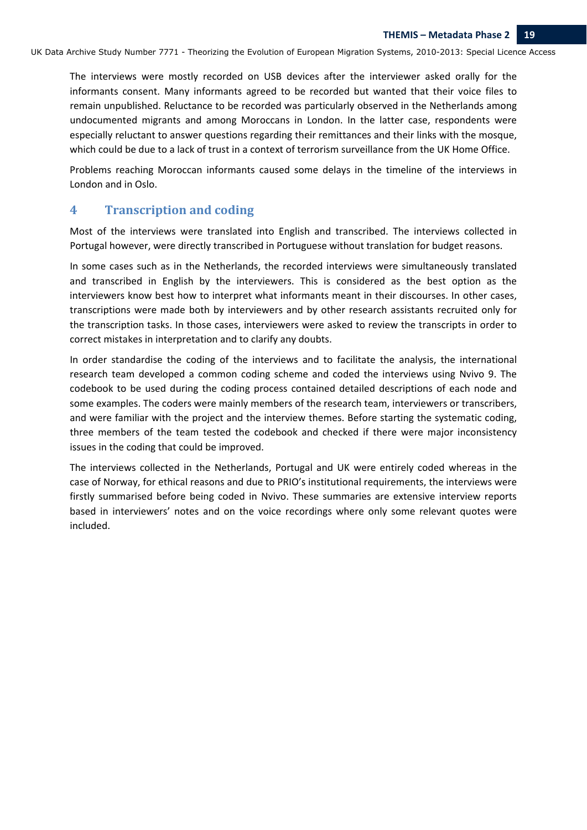The interviews were mostly recorded on USB devices after the interviewer asked orally for the informants consent. Many informants agreed to be recorded but wanted that their voice files to remain unpublished. Reluctance to be recorded was particularly observed in the Netherlands among undocumented migrants and among Moroccans in London. In the latter case, respondents were especially reluctant to answer questions regarding their remittances and their links with the mosque, which could be due to a lack of trust in a context of terrorism surveillance from the UK Home Office.

Problems reaching Moroccan informants caused some delays in the timeline of the interviews in London and in Oslo.

# **4 Transcription and coding**

Most of the interviews were translated into English and transcribed. The interviews collected in Portugal however, were directly transcribed in Portuguese without translation for budget reasons.

In some cases such as in the Netherlands, the recorded interviews were simultaneously translated and transcribed in English by the interviewers. This is considered as the best option as the interviewers know best how to interpret what informants meant in their discourses. In other cases, transcriptions were made both by interviewers and by other research assistants recruited only for the transcription tasks. In those cases, interviewers were asked to review the transcripts in order to correct mistakes in interpretation and to clarify any doubts.

In order standardise the coding of the interviews and to facilitate the analysis, the international research team developed a common coding scheme and coded the interviews using Nvivo 9. The codebook to be used during the coding process contained detailed descriptions of each node and some examples. The coders were mainly members of the research team, interviewers or transcribers, and were familiar with the project and the interview themes. Before starting the systematic coding, three members of the team tested the codebook and checked if there were major inconsistency issues in the coding that could be improved.

The interviews collected in the Netherlands, Portugal and UK were entirely coded whereas in the case of Norway, for ethical reasons and due to PRIO's institutional requirements, the interviews were firstly summarised before being coded in Nvivo. These summaries are extensive interview reports based in interviewers' notes and on the voice recordings where only some relevant quotes were included.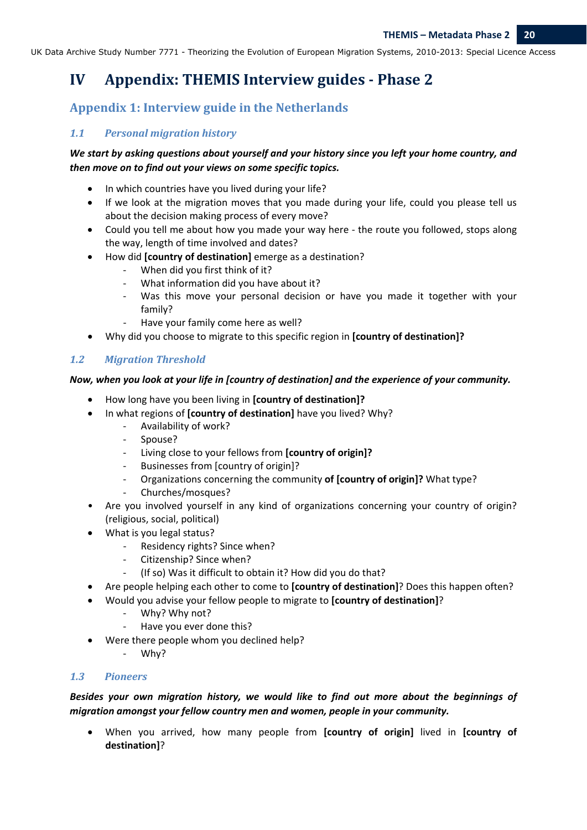# **IV Appendix: THEMIS Interview guides ‐ Phase 2**

# **Appendix 1: Interview guide in the Netherlands**

# *1.1 Personal migration history*

# *We start by asking questions about yourself and your history since you left your home country, and then move on to find out your views on some specific topics.*

- In which countries have you lived during your life?
- If we look at the migration moves that you made during your life, could you please tell us about the decision making process of every move?
- Could you tell me about how you made your way here the route you followed, stops along the way, length of time involved and dates?
- How did **[country of destination]** emerge as a destination?
	- When did you first think of it?
	- ‐ What information did you have about it?
	- Was this move your personal decision or have you made it together with your family?
	- ‐ Have your family come here as well?
- Why did you choose to migrate to this specific region in **[country of destination]?**

# *1.2 Migration Threshold*

## *Now, when you look at your life in [country of destination] and the experience of your community.*

- How long have you been living in **[country of destination]?**
- In what regions of **[country of destination]** have you lived? Why?
	- ‐ Availability of work?
	- ‐ Spouse?
	- ‐ Living close to your fellows from **[country of origin]?**
	- ‐ Businesses from [country of origin]?
	- ‐ Organizations concerning the community **of [country of origin]?** What type?
	- ‐ Churches/mosques?
- Are you involved yourself in any kind of organizations concerning your country of origin? (religious, social, political)
- What is you legal status?
	- ‐ Residency rights? Since when?
	- ‐ Citizenship? Since when?
	- ‐ (If so) Was it difficult to obtain it? How did you do that?
- Are people helping each other to come to **[country of destination]**? Does this happen often?
- Would you advise your fellow people to migrate to **[country of destination]**?
	- ‐ Why? Why not?
	- ‐ Have you ever done this?
- Were there people whom you declined help?
	- ‐ Why?

## *1.3 Pioneers*

*Besides your own migration history, we would like to find out more about the beginnings of migration amongst your fellow country men and women, people in your community.*

• When you arrived, how many people from **[country of origin]** lived in **[country of destination]**?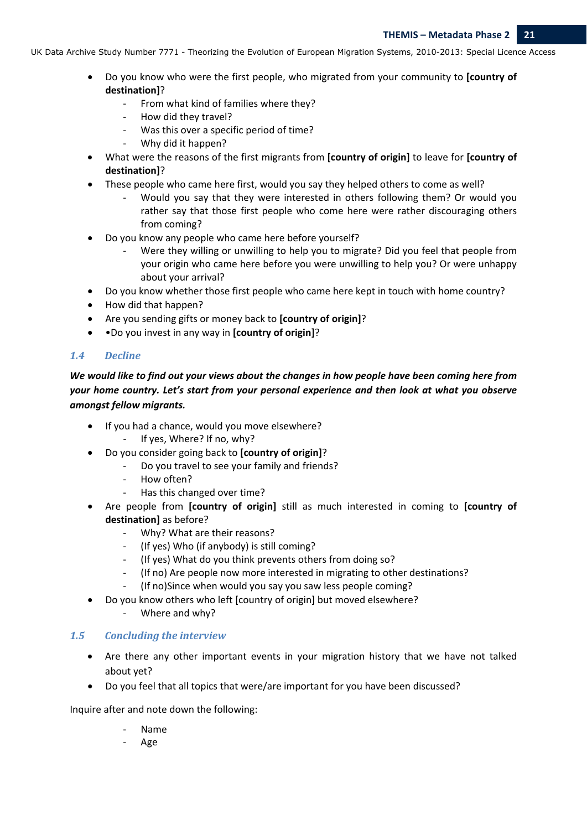- Do you know who were the first people, who migrated from your community to **[country of destination]**?
	- ‐ From what kind of families where they?
	- ‐ How did they travel?
	- Was this over a specific period of time?
	- ‐ Why did it happen?
- What were the reasons of the first migrants from **[country of origin]** to leave for **[country of destination]**?
- These people who came here first, would you say they helped others to come as well?
	- ‐ Would you say that they were interested in others following them? Or would you rather say that those first people who come here were rather discouraging others from coming?
- Do you know any people who came here before yourself?
	- Were they willing or unwilling to help you to migrate? Did you feel that people from your origin who came here before you were unwilling to help you? Or were unhappy about your arrival?
- Do you know whether those first people who came here kept in touch with home country?
- How did that happen?
- Are you sending gifts or money back to **[country of origin]**?
- •Do you invest in any way in **[country of origin]**?

## *1.4 Decline*

We would like to find out your views about the changes in how people have been coming here from *your home country. Let's start from your personal experience and then look at what you observe amongst fellow migrants.*

- If you had a chance, would you move elsewhere?
	- ‐ If yes, Where? If no, why?
- Do you consider going back to **[country of origin]**?
	- ‐ Do you travel to see your family and friends?
	- ‐ How often?
	- ‐ Has this changed over time?
- Are people from **[country of origin]** still as much interested in coming to **[country of destination]** as before?
	- ‐ Why? What are their reasons?
	- ‐ (If yes) Who (if anybody) is still coming?
	- ‐ (If yes) What do you think prevents others from doing so?
	- ‐ (If no) Are people now more interested in migrating to other destinations?
	- ‐ (If no)Since when would you say you saw less people coming?
- Do you know others who left [country of origin] but moved elsewhere?
	- ‐ Where and why?

## *1.5 Concluding the interview*

- Are there any other important events in your migration history that we have not talked about yet?
- Do you feel that all topics that were/are important for you have been discussed?

Inquire after and note down the following:

- ‐ Name
	- ‐ Age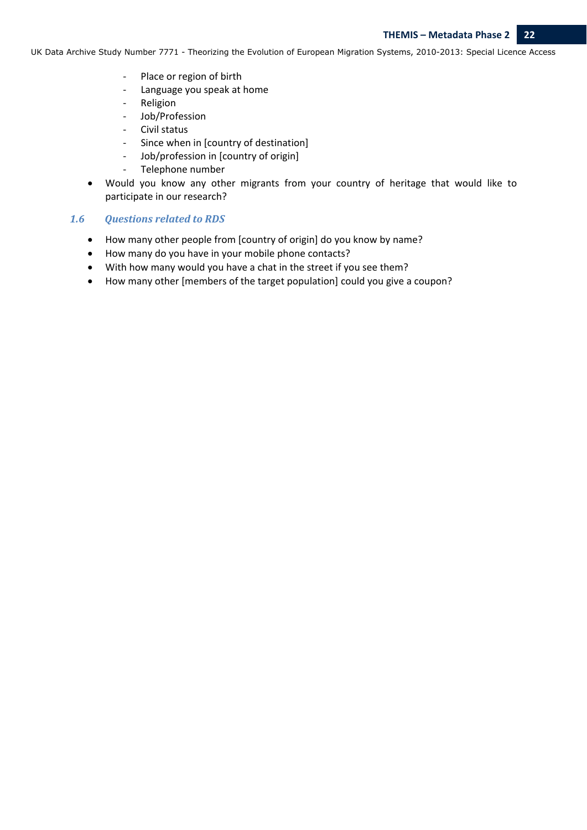- ‐ Place or region of birth
- ‐ Language you speak at home
- ‐ Religion
- ‐ Job/Profession
- ‐ Civil status
- Since when in [country of destination]
- ‐ Job/profession in [country of origin]
- ‐ Telephone number
- Would you know any other migrants from your country of heritage that would like to participate in our research?

#### *1.6 Questions related to RDS*

- How many other people from [country of origin] do you know by name?
- How many do you have in your mobile phone contacts?
- With how many would you have a chat in the street if you see them?
- How many other [members of the target population] could you give a coupon?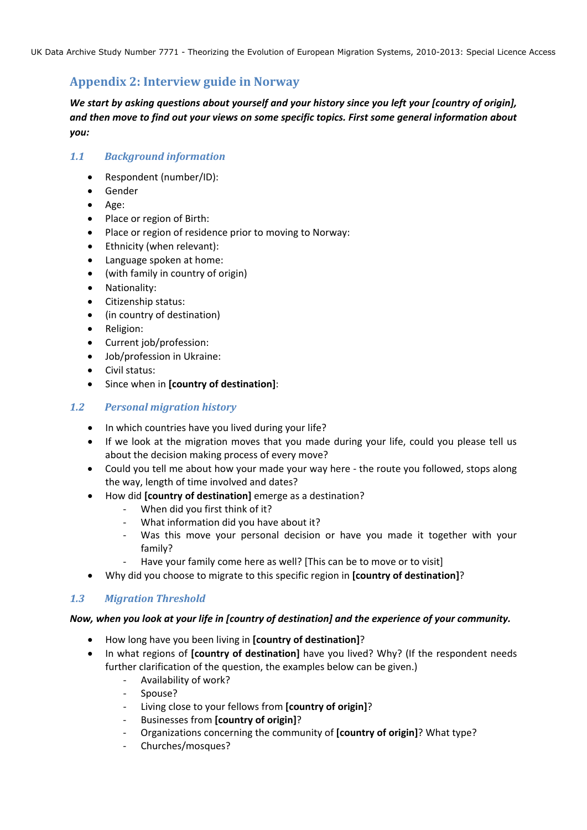# **Appendix 2: Interview guide in Norway**

*We start by asking questions about yourself and your history since you left your [country of origin], and then move to find out your views on some specific topics. First some general information about you:*

## *1.1 Background information*

- Respondent (number/ID):
- Gender
- Age:
- Place or region of Birth:
- Place or region of residence prior to moving to Norway:
- Ethnicity (when relevant):
- Language spoken at home:
- (with family in country of origin)
- Nationality:
- Citizenship status:
- (in country of destination)
- Religion:
- Current job/profession:
- Job/profession in Ukraine:
- Civil status:
- Since when in **[country of destination]**:

#### *1.2 Personal migration history*

- In which countries have you lived during your life?
- If we look at the migration moves that you made during your life, could you please tell us about the decision making process of every move?
- Could you tell me about how your made your way here the route you followed, stops along the way, length of time involved and dates?
- How did **[country of destination]** emerge as a destination?
	- When did you first think of it?
	- ‐ What information did you have about it?
	- Was this move your personal decision or have you made it together with your family?
	- Have your family come here as well? [This can be to move or to visit]
- Why did you choose to migrate to this specific region in **[country of destination]**?

## *1.3 Migration Threshold*

#### *Now, when you look at your life in [country of destination] and the experience of your community.*

- How long have you been living in **[country of destination]**?
- In what regions of **[country of destination]** have you lived? Why? (If the respondent needs further clarification of the question, the examples below can be given.)
	- ‐ Availability of work?
	- ‐ Spouse?
	- ‐ Living close to your fellows from **[country of origin]**?
	- ‐ Businesses from **[country of origin]**?
	- ‐ Organizations concerning the community of **[country of origin]**? What type?
	- ‐ Churches/mosques?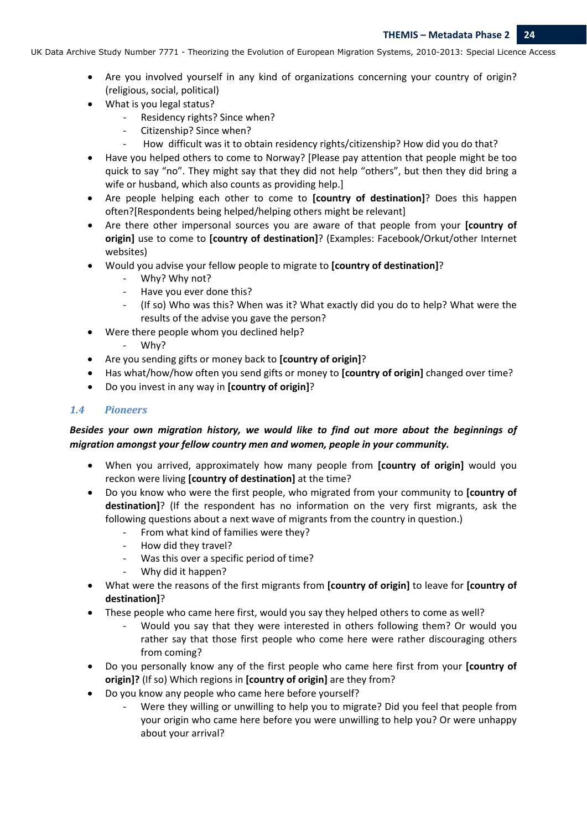- Are you involved yourself in any kind of organizations concerning your country of origin? (religious, social, political)
- What is you legal status?
	- ‐ Residency rights? Since when?
	- ‐ Citizenship? Since when?
	- How difficult was it to obtain residency rights/citizenship? How did you do that?
- Have you helped others to come to Norway? [Please pay attention that people might be too quick to say "no". They might say that they did not help "others", but then they did bring a wife or husband, which also counts as providing help.]
- Are people helping each other to come to **[country of destination]**? Does this happen often?[Respondents being helped/helping others might be relevant]
- Are there other impersonal sources you are aware of that people from your **[country of origin]** use to come to **[country of destination]**? (Examples: Facebook/Orkut/other Internet websites)
- Would you advise your fellow people to migrate to **[country of destination]**?
	- ‐ Why? Why not?
	- ‐ Have you ever done this?
	- ‐ (If so) Who was this? When was it? What exactly did you do to help? What were the results of the advise you gave the person?
- Were there people whom you declined help?
	- ‐ Why?
- Are you sending gifts or money back to **[country of origin]**?
- Has what/how/how often you send gifts or money to **[country of origin]** changed over time?
- Do you invest in any way in **[country of origin]**?

#### *1.4 Pioneers*

# *Besides your own migration history, we would like to find out more about the beginnings of migration amongst your fellow country men and women, people in your community.*

- When you arrived, approximately how many people from **[country of origin]** would you reckon were living **[country of destination]** at the time?
- Do you know who were the first people, who migrated from your community to **[country of destination]**? (If the respondent has no information on the very first migrants, ask the following questions about a next wave of migrants from the country in question.)
	- ‐ From what kind of families were they?
	- ‐ How did they travel?
	- Was this over a specific period of time?
	- ‐ Why did it happen?
- What were the reasons of the first migrants from **[country of origin]** to leave for **[country of destination]**?
- These people who came here first, would you say they helped others to come as well?
	- ‐ Would you say that they were interested in others following them? Or would you rather say that those first people who come here were rather discouraging others from coming?
- Do you personally know any of the first people who came here first from your **[country of origin]?** (If so) Which regions in **[country of origin]** are they from?
- Do you know any people who came here before yourself?
	- Were they willing or unwilling to help you to migrate? Did you feel that people from your origin who came here before you were unwilling to help you? Or were unhappy about your arrival?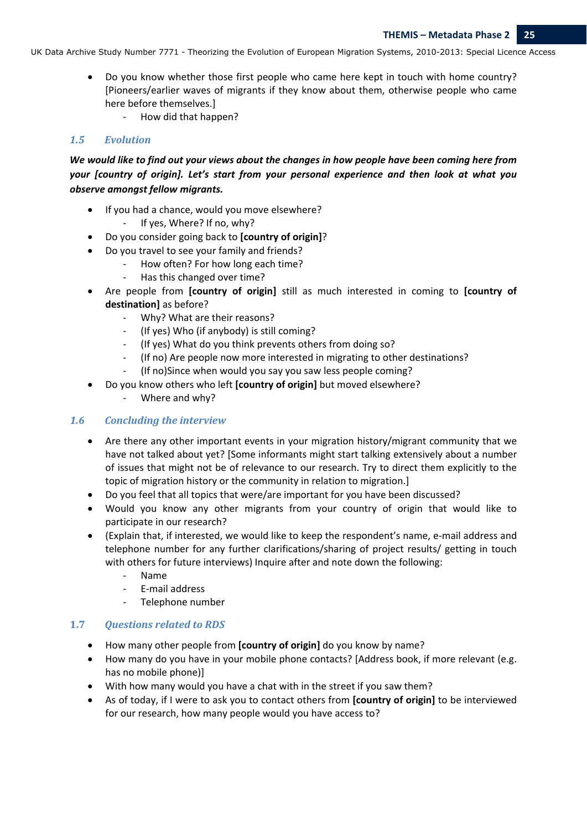- Do you know whether those first people who came here kept in touch with home country? [Pioneers/earlier waves of migrants if they know about them, otherwise people who came here before themselves.]
	- ‐ How did that happen?

## *1.5 Evolution*

We would like to find out your views about the changes in how people have been coming here from *your [country of origin]. Let's start from your personal experience and then look at what you observe amongst fellow migrants.*

- If you had a chance, would you move elsewhere? ‐ If yes, Where? If no, why?
- Do you consider going back to **[country of origin]**?
- Do you travel to see your family and friends?
	- ‐ How often? For how long each time?
	- ‐ Has this changed over time?
- Are people from **[country of origin]** still as much interested in coming to **[country of destination]** as before?
	- ‐ Why? What are their reasons?
	- (If yes) Who (if anybody) is still coming?
	- ‐ (If yes) What do you think prevents others from doing so?
	- ‐ (If no) Are people now more interested in migrating to other destinations?
	- ‐ (If no)Since when would you say you saw less people coming?
- Do you know others who left **[country of origin]** but moved elsewhere?
	- ‐ Where and why?

#### *1.6 Concluding the interview*

- Are there any other important events in your migration history/migrant community that we have not talked about yet? [Some informants might start talking extensively about a number of issues that might not be of relevance to our research. Try to direct them explicitly to the topic of migration history or the community in relation to migration.]
- Do you feel that all topics that were/are important for you have been discussed?
- Would you know any other migrants from your country of origin that would like to participate in our research?
- (Explain that, if interested, we would like to keep the respondent's name, e‐mail address and telephone number for any further clarifications/sharing of project results/ getting in touch with others for future interviews) Inquire after and note down the following:
	- ‐ Name
	- ‐ E‐mail address
	- ‐ Telephone number

## **1.7** *Questions related to RDS*

- How many other people from **[country of origin]** do you know by name?
- How many do you have in your mobile phone contacts? [Address book, if more relevant (e.g. has no mobile phone)]
- With how many would you have a chat with in the street if you saw them?
- As of today, if I were to ask you to contact others from **[country of origin]** to be interviewed for our research, how many people would you have access to?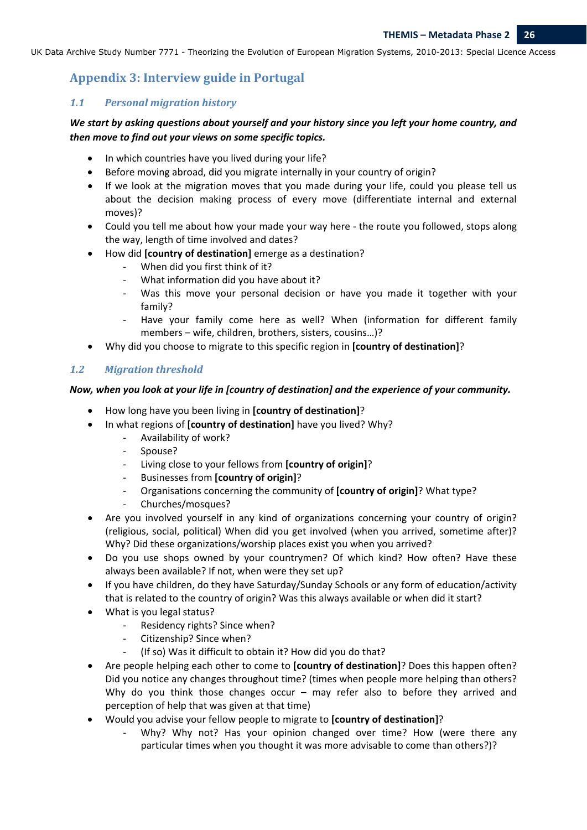# **Appendix 3: Interview guide in Portugal**

#### *1.1 Personal migration history*

## *We start by asking questions about yourself and your history since you left your home country, and then move to find out your views on some specific topics.*

- In which countries have you lived during your life?
- Before moving abroad, did you migrate internally in your country of origin?
- If we look at the migration moves that you made during your life, could you please tell us about the decision making process of every move (differentiate internal and external moves)?
- Could you tell me about how your made your way here the route you followed, stops along the way, length of time involved and dates?
- How did **[country of destination]** emerge as a destination?
	- When did you first think of it?
	- ‐ What information did you have about it?
	- Was this move your personal decision or have you made it together with your family?
	- Have your family come here as well? When (information for different family members – wife, children, brothers, sisters, cousins…)?
- Why did you choose to migrate to this specific region in **[country of destination]**?

## 1.2 *Migration threshold*

#### *Now, when you look at your life in [country of destination] and the experience of your community.*

- How long have you been living in **[country of destination]**?
- In what regions of **[country of destination]** have you lived? Why?
	- ‐ Availability of work?
	- ‐ Spouse?
	- ‐ Living close to your fellows from **[country of origin]**?
	- ‐ Businesses from **[country of origin]**?
	- ‐ Organisations concerning the community of **[country of origin]**? What type?
	- ‐ Churches/mosques?
- Are you involved yourself in any kind of organizations concerning your country of origin? (religious, social, political) When did you get involved (when you arrived, sometime after)? Why? Did these organizations/worship places exist you when you arrived?
- Do you use shops owned by your countrymen? Of which kind? How often? Have these always been available? If not, when were they set up?
- If you have children, do they have Saturday/Sunday Schools or any form of education/activity that is related to the country of origin? Was this always available or when did it start?
- What is you legal status?
	- ‐ Residency rights? Since when?
	- ‐ Citizenship? Since when?
	- (If so) Was it difficult to obtain it? How did you do that?
- Are people helping each other to come to **[country of destination]**? Does this happen often? Did you notice any changes throughout time? (times when people more helping than others? Why do you think those changes occur – may refer also to before they arrived and perception of help that was given at that time)
- Would you advise your fellow people to migrate to **[country of destination]**?
	- ‐ Why? Why not? Has your opinion changed over time? How (were there any particular times when you thought it was more advisable to come than others?)?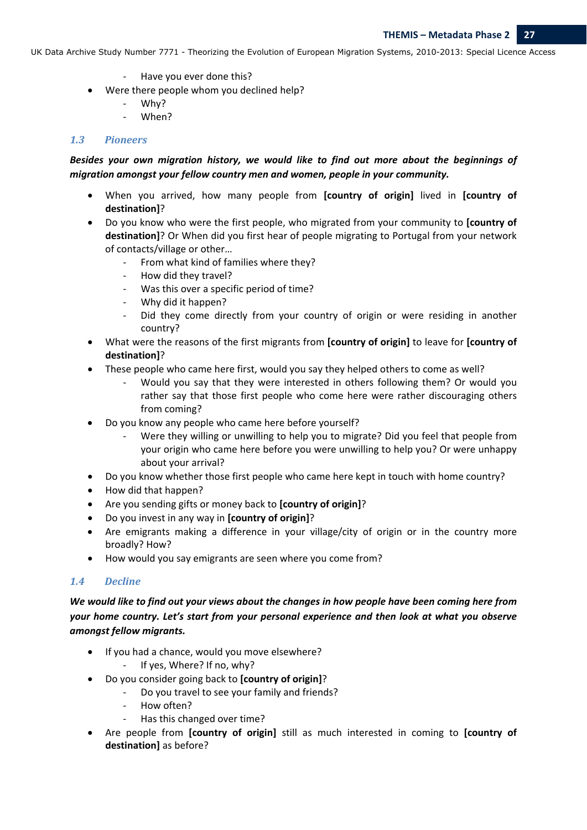- ‐ Have you ever done this?
- Were there people whom you declined help?
	- ‐ Why?
	- ‐ When?

## *1.3 Pioneers*

## *Besides your own migration history, we would like to find out more about the beginnings of migration amongst your fellow country men and women, people in your community.*

- When you arrived, how many people from **[country of origin]** lived in **[country of destination]**?
- Do you know who were the first people, who migrated from your community to **[country of destination]**? Or When did you first hear of people migrating to Portugal from your network of contacts/village or other…
	- ‐ From what kind of families where they?
	- ‐ How did they travel?
	- ‐ Was this over a specific period of time?
	- ‐ Why did it happen?
	- Did they come directly from your country of origin or were residing in another country?
- What were the reasons of the first migrants from **[country of origin]** to leave for **[country of destination]**?
- These people who came here first, would you say they helped others to come as well?
	- ‐ Would you say that they were interested in others following them? Or would you rather say that those first people who come here were rather discouraging others from coming?
- Do you know any people who came here before yourself?
	- Were they willing or unwilling to help you to migrate? Did you feel that people from your origin who came here before you were unwilling to help you? Or were unhappy about your arrival?
- Do you know whether those first people who came here kept in touch with home country?
- How did that happen?
- Are you sending gifts or money back to **[country of origin]**?
- Do you invest in any way in **[country of origin]**?
- Are emigrants making a difference in your village/city of origin or in the country more broadly? How?
- How would you say emigrants are seen where you come from?

## *1.4 Decline*

We would like to find out your views about the changes in how people have been coming here from *your home country. Let's start from your personal experience and then look at what you observe amongst fellow migrants.*

- If you had a chance, would you move elsewhere?
	- ‐ If yes, Where? If no, why?
- Do you consider going back to **[country of origin]**?
	- ‐ Do you travel to see your family and friends?
	- ‐ How often?
	- ‐ Has this changed over time?
- Are people from **[country of origin]** still as much interested in coming to **[country of destination]** as before?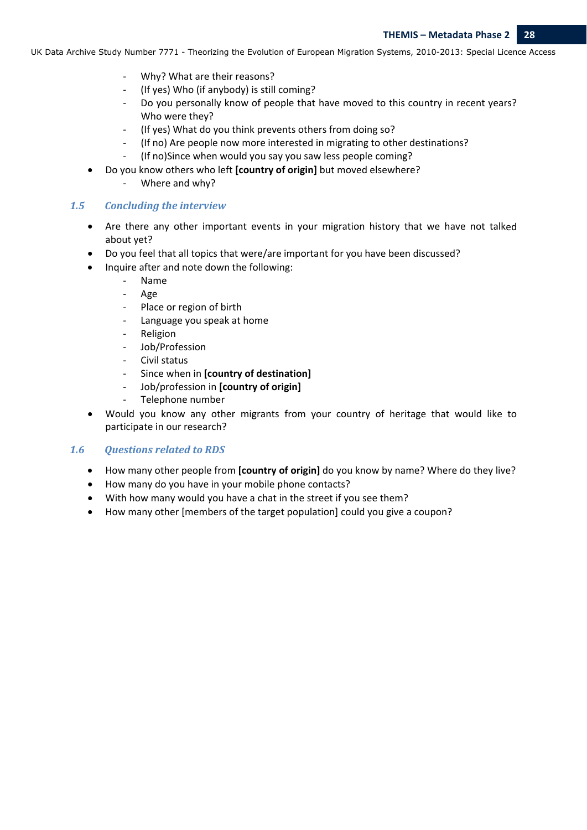- ‐ Why? What are their reasons?
- ‐ (If yes) Who (if anybody) is still coming?
- ‐ Do you personally know of people that have moved to this country in recent years? Who were they?
- ‐ (If yes) What do you think prevents others from doing so?
- ‐ (If no) Are people now more interested in migrating to other destinations?
- ‐ (If no)Since when would you say you saw less people coming?
- Do you know others who left **[country of origin]** but moved elsewhere?
	- ‐ Where and why?

#### *1.5 Concluding the interview*

- Are there any other important events in your migration history that we have not talked about yet?
- Do you feel that all topics that were/are important for you have been discussed?
- Inquire after and note down the following:
	- ‐ Name
	- ‐ Age
	- Place or region of birth
	- ‐ Language you speak at home
	- ‐ Religion
	- ‐ Job/Profession
	- ‐ Civil status
	- ‐ Since when in **[country of destination]**
	- ‐ Job/profession in **[country of origin]**
	- ‐ Telephone number
- Would you know any other migrants from your country of heritage that would like to participate in our research?

#### *1.6 Questions related to RDS*

- How many other people from **[country of origin]** do you know by name? Where do they live?
- How many do you have in your mobile phone contacts?
- With how many would you have a chat in the street if you see them?
- How many other [members of the target population] could you give a coupon?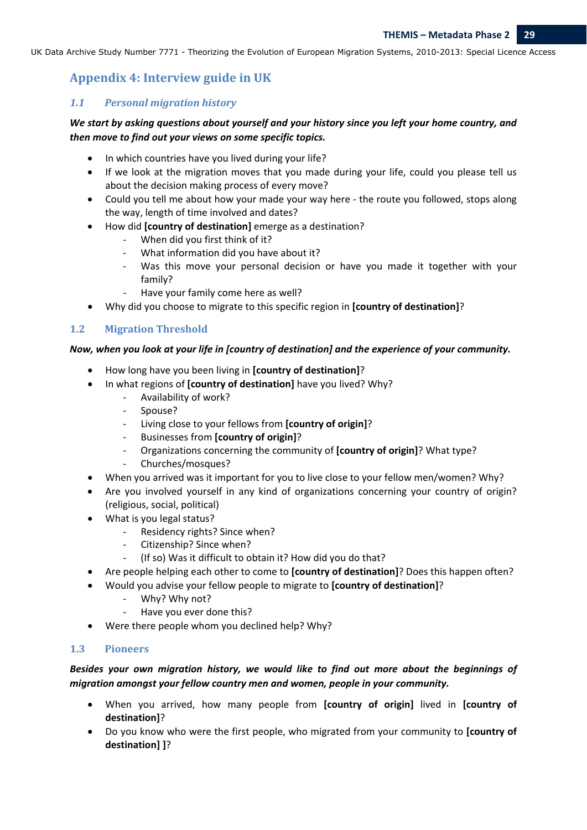# **Appendix 4: Interview guide in UK**

#### *1.1 Personal migration history*

## *We start by asking questions about yourself and your history since you left your home country, and then move to find out your views on some specific topics.*

- In which countries have you lived during your life?
- If we look at the migration moves that you made during your life, could you please tell us about the decision making process of every move?
- Could you tell me about how your made your way here the route you followed, stops along the way, length of time involved and dates?
- How did **[country of destination]** emerge as a destination?
	- When did you first think of it?
	- What information did you have about it?
	- ‐ Was this move your personal decision or have you made it together with your family?
	- ‐ Have your family come here as well?
- Why did you choose to migrate to this specific region in **[country of destination]**?

## 1.2 **Migration Threshold**

#### *Now, when you look at your life in [country of destination] and the experience of your community.*

- How long have you been living in **[country of destination]**?
- In what regions of **[country of destination]** have you lived? Why?
	- ‐ Availability of work?
	- ‐ Spouse?
	- ‐ Living close to your fellows from **[country of origin]**?
	- ‐ Businesses from **[country of origin]**?
	- ‐ Organizations concerning the community of **[country of origin]**? What type?
	- ‐ Churches/mosques?
- When you arrived was it important for you to live close to your fellow men/women? Why?
- Are you involved yourself in any kind of organizations concerning your country of origin? (religious, social, political)
- What is you legal status?
	- ‐ Residency rights? Since when?
	- ‐ Citizenship? Since when?
	- (If so) Was it difficult to obtain it? How did you do that?
- Are people helping each other to come to **[country of destination]**? Does this happen often?
- Would you advise your fellow people to migrate to **[country of destination]**?
	- ‐ Why? Why not?
	- ‐ Have you ever done this?
- Were there people whom you declined help? Why?

#### **1.3 Pioneers**

# *Besides your own migration history, we would like to find out more about the beginnings of migration amongst your fellow country men and women, people in your community.*

- When you arrived, how many people from **[country of origin]** lived in **[country of destination]**?
- Do you know who were the first people, who migrated from your community to **[country of destination] ]**?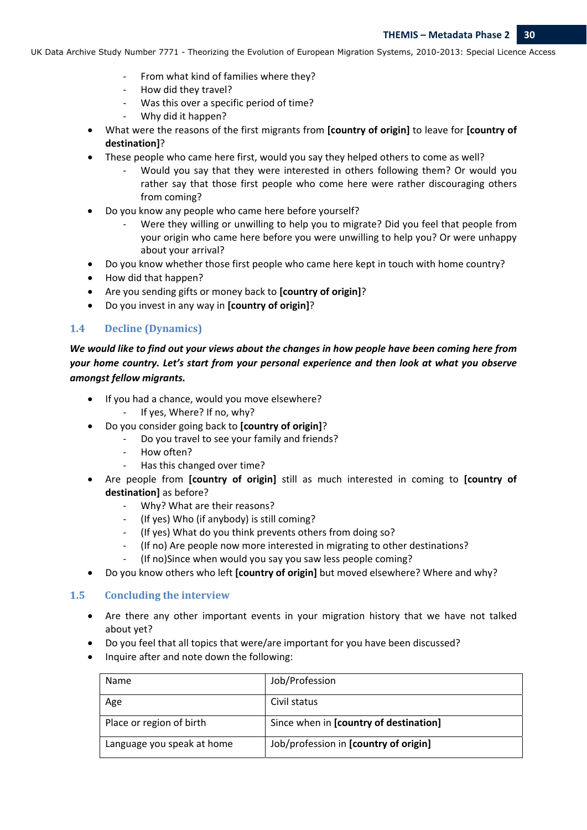- ‐ From what kind of families where they?
- ‐ How did they travel?
- Was this over a specific period of time?
- ‐ Why did it happen?
- What were the reasons of the first migrants from **[country of origin]** to leave for **[country of destination]**?
- These people who came here first, would you say they helped others to come as well?
	- ‐ Would you say that they were interested in others following them? Or would you rather say that those first people who come here were rather discouraging others from coming?
- Do you know any people who came here before yourself?
	- Were they willing or unwilling to help you to migrate? Did you feel that people from your origin who came here before you were unwilling to help you? Or were unhappy about your arrival?
- Do you know whether those first people who came here kept in touch with home country?
- How did that happen?
- Are you sending gifts or money back to **[country of origin]**?
- Do you invest in any way in **[country of origin]**?

#### **1.4 Decline (Dynamics)**

We would like to find out your views about the changes in how people have been coming here from *your home country. Let's start from your personal experience and then look at what you observe amongst fellow migrants.*

- If you had a chance, would you move elsewhere?
	- ‐ If yes, Where? If no, why?
- Do you consider going back to **[country of origin]**?
	- ‐ Do you travel to see your family and friends?
	- ‐ How often?
	- ‐ Has this changed over time?
- Are people from **[country of origin]** still as much interested in coming to **[country of destination]** as before?
	- ‐ Why? What are their reasons?
	- ‐ (If yes) Who (if anybody) is still coming?
	- ‐ (If yes) What do you think prevents others from doing so?
	- ‐ (If no) Are people now more interested in migrating to other destinations?
	- ‐ (If no)Since when would you say you saw less people coming?
- Do you know others who left **[country of origin]** but moved elsewhere? Where and why?

#### **1.5 Concluding the interview**

- Are there any other important events in your migration history that we have not talked about yet?
- Do you feel that all topics that were/are important for you have been discussed?
- Inquire after and note down the following:

| Name                       | Job/Profession                         |
|----------------------------|----------------------------------------|
| Age                        | Civil status                           |
| Place or region of birth   | Since when in [country of destination] |
| Language you speak at home | Job/profession in [country of origin]  |